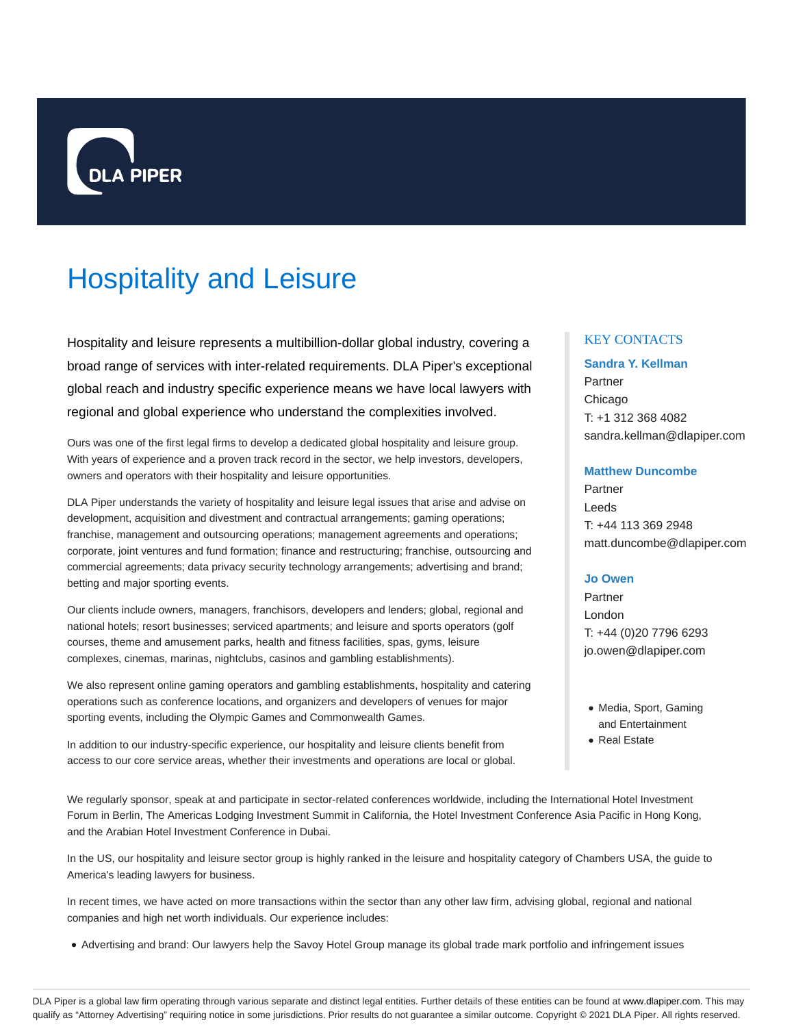

# Hospitality and Leisure

Hospitality and leisure represents a multibillion-dollar global industry, covering a broad range of services with inter-related requirements. DLA Piper's exceptional global reach and industry specific experience means we have local lawyers with regional and global experience who understand the complexities involved.

Ours was one of the first legal firms to develop a dedicated global hospitality and leisure group. With years of experience and a proven track record in the sector, we help investors, developers, owners and operators with their hospitality and leisure opportunities.

DLA Piper understands the variety of hospitality and leisure legal issues that arise and advise on development, acquisition and divestment and contractual arrangements; gaming operations; franchise, management and outsourcing operations; management agreements and operations; corporate, joint ventures and fund formation; finance and restructuring; franchise, outsourcing and commercial agreements; data privacy security technology arrangements; advertising and brand; betting and major sporting events.

Our clients include owners, managers, franchisors, developers and lenders; global, regional and national hotels; resort businesses; serviced apartments; and leisure and sports operators (golf courses, theme and amusement parks, health and fitness facilities, spas, gyms, leisure complexes, cinemas, marinas, nightclubs, casinos and gambling establishments).

We also represent online gaming operators and gambling establishments, hospitality and catering operations such as conference locations, and organizers and developers of venues for major sporting events, including the Olympic Games and Commonwealth Games.

In addition to our industry-specific experience, our hospitality and leisure clients benefit from access to our core service areas, whether their investments and operations are local or global.

We regularly sponsor, speak at and participate in sector-related conferences worldwide, including the International Hotel Investment Forum in Berlin, The Americas Lodging Investment Summit in California, the Hotel Investment Conference Asia Pacific in Hong Kong, and the Arabian Hotel Investment Conference in Dubai.

In the US, our hospitality and leisure sector group is highly ranked in the leisure and hospitality category of Chambers USA, the guide to America's leading lawyers for business.

In recent times, we have acted on more transactions within the sector than any other law firm, advising global, regional and national companies and high net worth individuals. Our experience includes:

Advertising and brand: Our lawyers help the Savoy Hotel Group manage its global trade mark portfolio and infringement issues

# KEY CONTACTS

# **Sandra Y. Kellman**

Partner Chicago T: +1 312 368 4082 sandra.kellman@dlapiper.com

## **Matthew Duncombe**

Partner Leeds T: +44 113 369 2948 matt.duncombe@dlapiper.com

## **Jo Owen**

Partner London T: +44 (0)20 7796 6293 jo.owen@dlapiper.com

- Media, Sport, Gaming and Entertainment
- Real Estate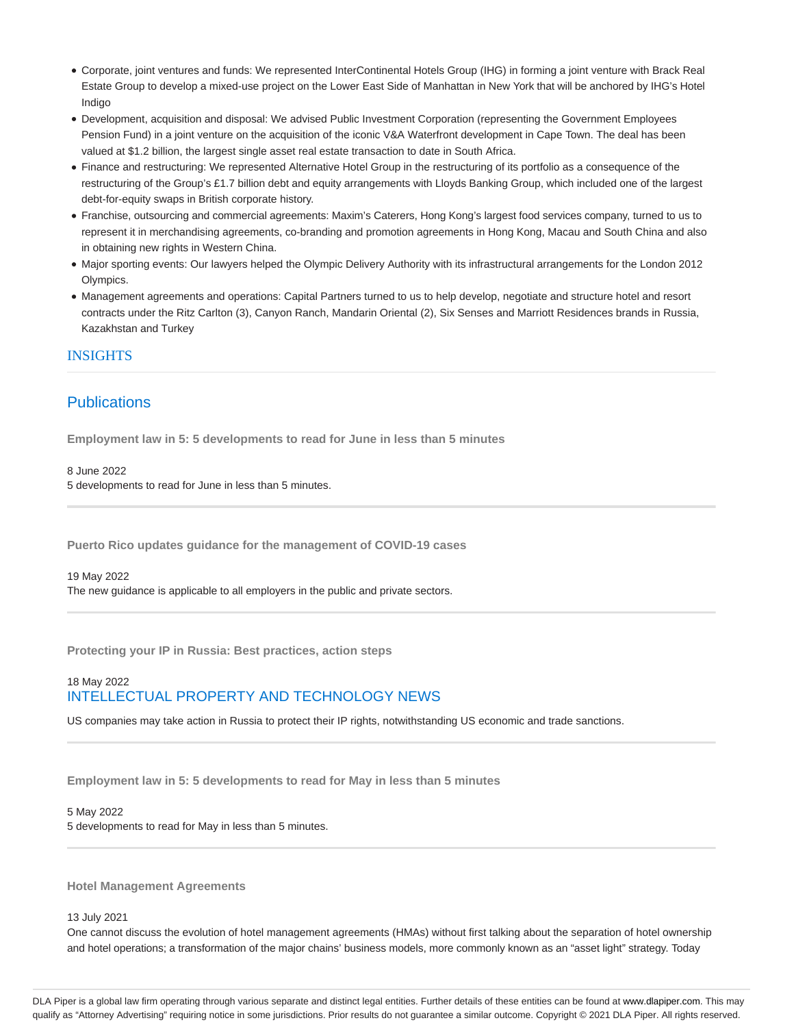- Corporate, joint ventures and funds: We represented InterContinental Hotels Group (IHG) in forming a joint venture with Brack Real Estate Group to develop a mixed-use project on the Lower East Side of Manhattan in New York that will be anchored by IHG's Hotel Indigo
- Development, acquisition and disposal: We advised Public Investment Corporation (representing the Government Employees Pension Fund) in a joint venture on the acquisition of the iconic V&A Waterfront development in Cape Town. The deal has been valued at \$1.2 billion, the largest single asset real estate transaction to date in South Africa.
- Finance and restructuring: We represented Alternative Hotel Group in the restructuring of its portfolio as a consequence of the restructuring of the Group's £1.7 billion debt and equity arrangements with Lloyds Banking Group, which included one of the largest debt-for-equity swaps in British corporate history.
- Franchise, outsourcing and commercial agreements: Maxim's Caterers, Hong Kong's largest food services company, turned to us to represent it in merchandising agreements, co-branding and promotion agreements in Hong Kong, Macau and South China and also in obtaining new rights in Western China.
- Major sporting events: Our lawyers helped the Olympic Delivery Authority with its infrastructural arrangements for the London 2012 Olympics.
- Management agreements and operations: Capital Partners turned to us to help develop, negotiate and structure hotel and resort contracts under the Ritz Carlton (3), Canyon Ranch, Mandarin Oriental (2), Six Senses and Marriott Residences brands in Russia, Kazakhstan and Turkey

# INSIGHTS

# **Publications**

**Employment law in 5: 5 developments to read for June in less than 5 minutes**

## 8 June 2022

5 developments to read for June in less than 5 minutes.

**Puerto Rico updates guidance for the management of COVID-19 cases**

#### 19 May 2022

The new guidance is applicable to all employers in the public and private sectors.

**Protecting your IP in Russia: Best practices, action steps**

# 18 May 2022 INTELLECTUAL PROPERTY AND TECHNOLOGY NEWS

US companies may take action in Russia to protect their IP rights, notwithstanding US economic and trade sanctions.

**Employment law in 5: 5 developments to read for May in less than 5 minutes**

## 5 May 2022

5 developments to read for May in less than 5 minutes.

**Hotel Management Agreements**

#### 13 July 2021

One cannot discuss the evolution of hotel management agreements (HMAs) without first talking about the separation of hotel ownership and hotel operations; a transformation of the major chains' business models, more commonly known as an "asset light" strategy. Today

DLA Piper is a global law firm operating through various separate and distinct legal entities. Further details of these entities can be found at www.dlapiper.com. This may qualify as "Attorney Advertising" requiring notice in some jurisdictions. Prior results do not guarantee a similar outcome. Copyright @ 2021 DLA Piper. All rights reserved.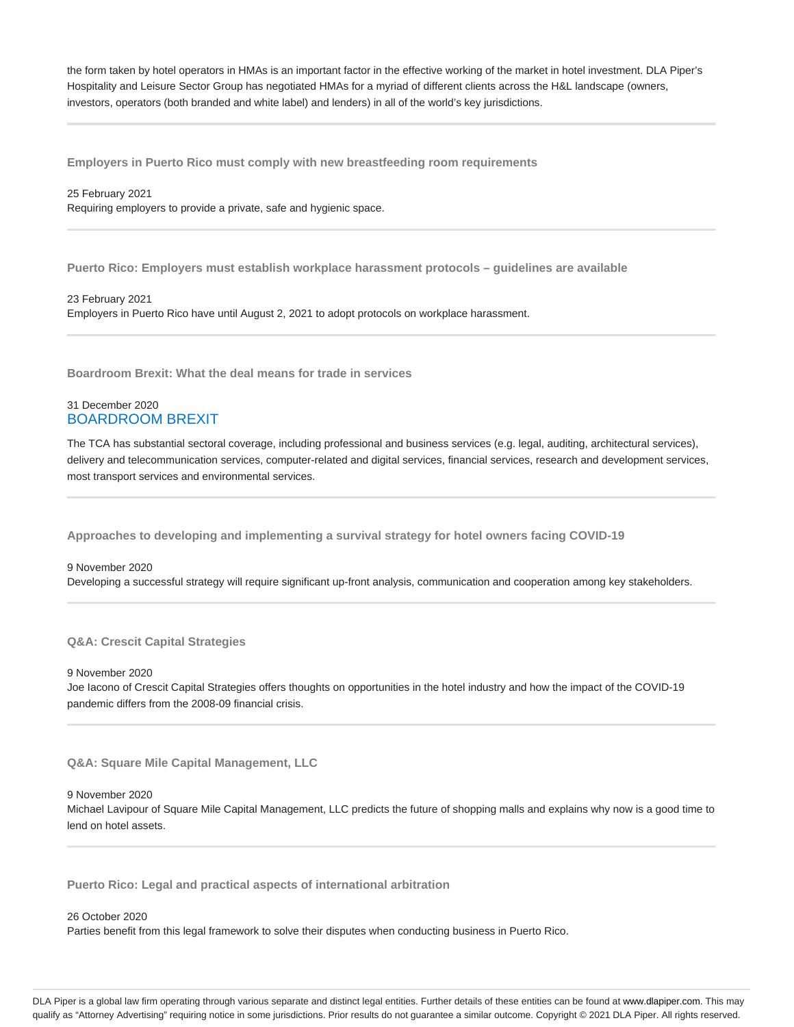the form taken by hotel operators in HMAs is an important factor in the effective working of the market in hotel investment. DLA Piper's Hospitality and Leisure Sector Group has negotiated HMAs for a myriad of different clients across the H&L landscape (owners, investors, operators (both branded and white label) and lenders) in all of the world's key jurisdictions.

**Employers in Puerto Rico must comply with new breastfeeding room requirements**

#### 25 February 2021

Requiring employers to provide a private, safe and hygienic space.

**Puerto Rico: Employers must establish workplace harassment protocols – guidelines are available**

23 February 2021 Employers in Puerto Rico have until August 2, 2021 to adopt protocols on workplace harassment.

**Boardroom Brexit: What the deal means for trade in services**

## 31 December 2020 BOARDROOM BREXIT

The TCA has substantial sectoral coverage, including professional and business services (e.g. legal, auditing, architectural services), delivery and telecommunication services, computer-related and digital services, financial services, research and development services, most transport services and environmental services.

**Approaches to developing and implementing a survival strategy for hotel owners facing COVID-19**

# 9 November 2020 Developing a successful strategy will require significant up-front analysis, communication and cooperation among key stakeholders.

**Q&A: Crescit Capital Strategies**

#### 9 November 2020

Joe Iacono of Crescit Capital Strategies offers thoughts on opportunities in the hotel industry and how the impact of the COVID-19 pandemic differs from the 2008-09 financial crisis.

**Q&A: Square Mile Capital Management, LLC**

#### 9 November 2020

Michael Lavipour of Square Mile Capital Management, LLC predicts the future of shopping malls and explains why now is a good time to lend on hotel assets.

**Puerto Rico: Legal and practical aspects of international arbitration**

#### 26 October 2020

Parties benefit from this legal framework to solve their disputes when conducting business in Puerto Rico.

DLA Piper is a global law firm operating through various separate and distinct legal entities. Further details of these entities can be found at www.dlapiper.com. This may qualify as "Attorney Advertising" requiring notice in some jurisdictions. Prior results do not guarantee a similar outcome. Copyright @ 2021 DLA Piper. All rights reserved.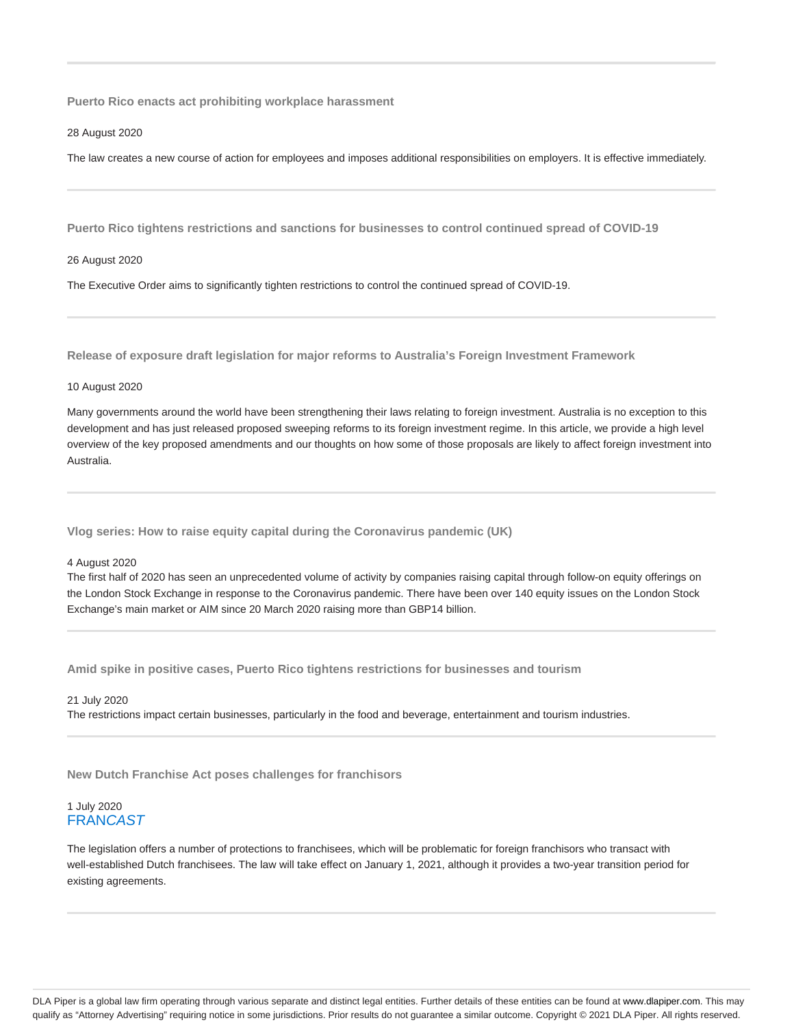**Puerto Rico enacts act prohibiting workplace harassment**

28 August 2020

The law creates a new course of action for employees and imposes additional responsibilities on employers. It is effective immediately.

**Puerto Rico tightens restrictions and sanctions for businesses to control continued spread of COVID-19**

#### 26 August 2020

The Executive Order aims to significantly tighten restrictions to control the continued spread of COVID-19.

**Release of exposure draft legislation for major reforms to Australia's Foreign Investment Framework**

#### 10 August 2020

Many governments around the world have been strengthening their laws relating to foreign investment. Australia is no exception to this development and has just released proposed sweeping reforms to its foreign investment regime. In this article, we provide a high level overview of the key proposed amendments and our thoughts on how some of those proposals are likely to affect foreign investment into Australia.

**Vlog series: How to raise equity capital during the Coronavirus pandemic (UK)**

### 4 August 2020

The first half of 2020 has seen an unprecedented volume of activity by companies raising capital through follow-on equity offerings on the London Stock Exchange in response to the Coronavirus pandemic. There have been over 140 equity issues on the London Stock Exchange's main market or AIM since 20 March 2020 raising more than GBP14 billion.

**Amid spike in positive cases, Puerto Rico tightens restrictions for businesses and tourism**

21 July 2020 The restrictions impact certain businesses, particularly in the food and beverage, entertainment and tourism industries.

**New Dutch Franchise Act poses challenges for franchisors**

# 1 July 2020 **FRANCAST**

The legislation offers a number of protections to franchisees, which will be problematic for foreign franchisors who transact with well-established Dutch franchisees. The law will take effect on January 1, 2021, although it provides a two-year transition period for existing agreements.